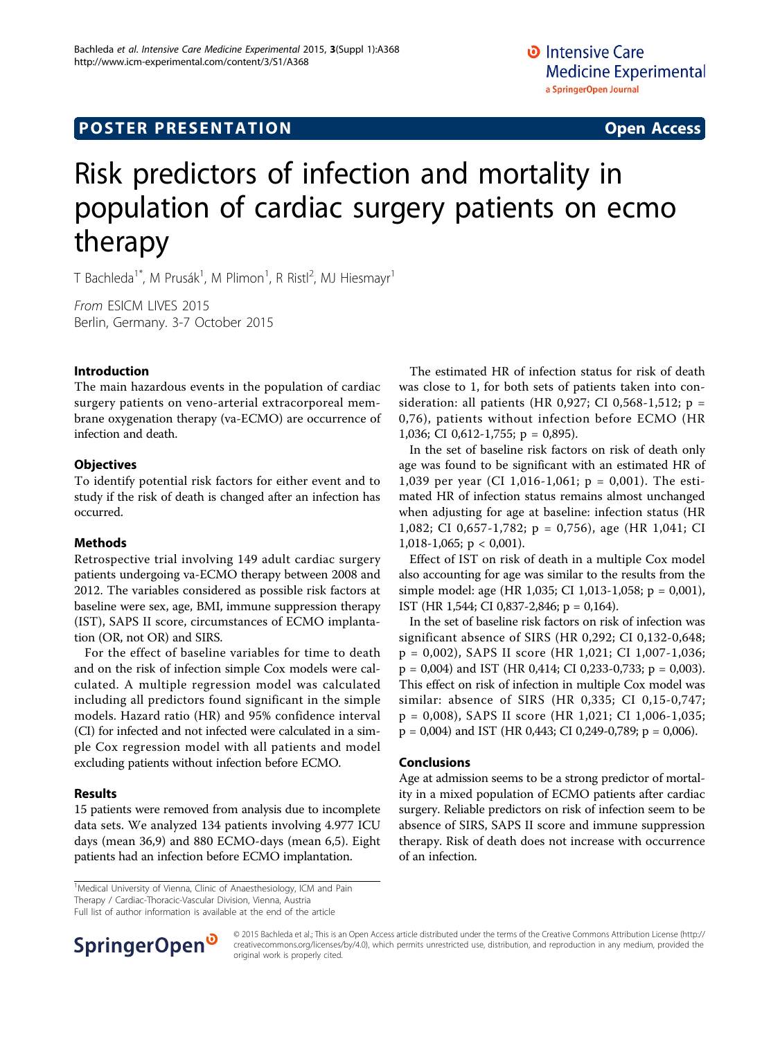## **POSTER PRESENTATION CONSUMING THE SERVICE SERVICE SERVICES**

# Risk predictors of infection and mortality in population of cardiac surgery patients on ecmo therapy

T Bachleda $^{\text{1}}$ ", M Prusák $^{\text{1}}$ , M Plimon $^{\text{1}}$ , R Ristl $^{\text{2}}$ , MJ Hiesmayr $^{\text{1}}$ 

From ESICM LIVES 2015 Berlin, Germany. 3-7 October 2015

### Introduction

The main hazardous events in the population of cardiac surgery patients on veno-arterial extracorporeal membrane oxygenation therapy (va-ECMO) are occurrence of infection and death.

#### **Objectives**

To identify potential risk factors for either event and to study if the risk of death is changed after an infection has occurred.

### Methods

Retrospective trial involving 149 adult cardiac surgery patients undergoing va-ECMO therapy between 2008 and 2012. The variables considered as possible risk factors at baseline were sex, age, BMI, immune suppression therapy (IST), SAPS II score, circumstances of ECMO implantation (OR, not OR) and SIRS.

For the effect of baseline variables for time to death and on the risk of infection simple Cox models were calculated. A multiple regression model was calculated including all predictors found significant in the simple models. Hazard ratio (HR) and 95% confidence interval (CI) for infected and not infected were calculated in a simple Cox regression model with all patients and model excluding patients without infection before ECMO.

### Results

15 patients were removed from analysis due to incomplete data sets. We analyzed 134 patients involving 4.977 ICU days (mean 36,9) and 880 ECMO-days (mean 6,5). Eight patients had an infection before ECMO implantation.

The estimated HR of infection status for risk of death was close to 1, for both sets of patients taken into consideration: all patients (HR 0,927; CI 0,568-1,512; p = 0,76), patients without infection before ECMO (HR 1,036; CI 0,612-1,755; p = 0,895).

In the set of baseline risk factors on risk of death only age was found to be significant with an estimated HR of 1,039 per year (CI 1,016-1,061; p = 0,001). The estimated HR of infection status remains almost unchanged when adjusting for age at baseline: infection status (HR 1,082; CI 0,657-1,782; p = 0,756), age (HR 1,041; CI 1,018-1,065;  $p < 0,001$ ).

Effect of IST on risk of death in a multiple Cox model also accounting for age was similar to the results from the simple model: age (HR 1,035; CI 1,013-1,058; p = 0,001), IST (HR 1,544; CI 0,837-2,846; p = 0,164).

In the set of baseline risk factors on risk of infection was significant absence of SIRS (HR 0,292; CI 0,132-0,648; p = 0,002), SAPS II score (HR 1,021; CI 1,007-1,036;  $p = 0,004$ ) and IST (HR 0,414; CI 0,233-0,733;  $p = 0,003$ ). This effect on risk of infection in multiple Cox model was similar: absence of SIRS (HR 0,335; CI 0,15-0,747; p = 0,008), SAPS II score (HR 1,021; CI 1,006-1,035;  $p = 0,004$ ) and IST (HR 0,443; CI 0,249-0,789;  $p = 0,006$ ).

#### Conclusions

Age at admission seems to be a strong predictor of mortality in a mixed population of ECMO patients after cardiac surgery. Reliable predictors on risk of infection seem to be absence of SIRS, SAPS II score and immune suppression therapy. Risk of death does not increase with occurrence of an infection.

<sup>1</sup>Medical University of Vienna, Clinic of Anaesthesiology, ICM and Pain Therapy / Cardiac-Thoracic-Vascular Division, Vienna, Austria Full list of author information is available at the end of the article



© 2015 Bachleda et al.; This is an Open Access article distributed under the terms of the Creative Commons Attribution License [\(http://](http://creativecommons.org/licenses/by/4.0) [creativecommons.org/licenses/by/4.0](http://creativecommons.org/licenses/by/4.0)), which permits unrestricted use, distribution, and reproduction in any medium, provided the original work is properly cited.